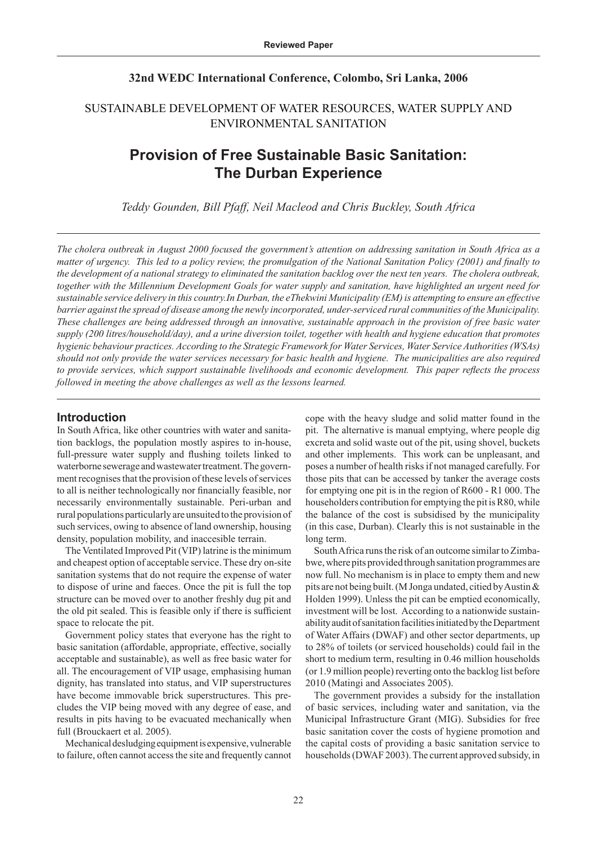# **32nd WEDC International Conference, Colombo, Sri Lanka, 2006**

# SUSTAINABLE DEVELOPMENT OF WATER RESOURCES, WATER SUPPLY AND ENVIRONMENTAL SANITATION

# **Provision of Free Sustainable Basic Sanitation: The Durban Experience**

*Teddy Gounden, Bill Pfaff, Neil Macleod and Chris Buckley, South Africa* 

*The cholera outbreak in August 2000 focused the government's attention on addressing sanitation in South Africa as a matter of urgency. This led to a policy review, the promulgation of the National Sanitation Policy (2001) and finally to the development of a national strategy to eliminated the sanitation backlog over the next ten years. The cholera outbreak, together with the Millennium Development Goals for water supply and sanitation, have highlighted an urgent need for sustainable service delivery in this country.In Durban, the eThekwini Municipality (EM) is attempting to ensure an effective barrier against the spread of disease among the newly incorporated, under-serviced rural communities of the Municipality. These challenges are being addressed through an innovative, sustainable approach in the provision of free basic water supply (200 litres/household/day), and a urine diversion toilet, together with health and hygiene education that promotes hygienic behaviour practices. According to the Strategic Framework for Water Services, Water Service Authorities (WSAs) should not only provide the water services necessary for basic health and hygiene. The municipalities are also required to provide services, which support sustainable livelihoods and economic development. This paper reflects the process followed in meeting the above challenges as well as the lessons learned.* 

# **Introduction**

In South Africa, like other countries with water and sanitation backlogs, the population mostly aspires to in-house, full-pressure water supply and flushing toilets linked to waterborne sewerage and wastewater treatment. The government recognises that the provision of these levels of services to all is neither technologically nor financially feasible, nor necessarily environmentally sustainable. Peri-urban and rural populations particularly are unsuited to the provision of such services, owing to absence of land ownership, housing density, population mobility, and inaccesible terrain.

The Ventilated Improved Pit (VIP) latrine is the minimum and cheapest option of acceptable service. These dry on-site sanitation systems that do not require the expense of water to dispose of urine and faeces. Once the pit is full the top structure can be moved over to another freshly dug pit and the old pit sealed. This is feasible only if there is sufficient space to relocate the pit.

Government policy states that everyone has the right to basic sanitation (affordable, appropriate, effective, socially acceptable and sustainable), as well as free basic water for all. The encouragement of VIP usage, emphasising human dignity, has translated into status, and VIP superstructures have become immovable brick superstructures. This precludes the VIP being moved with any degree of ease, and results in pits having to be evacuated mechanically when full (Brouckaert et al. 2005).

Mechanical desludging equipment is expensive, vulnerable to failure, often cannot access the site and frequently cannot cope with the heavy sludge and solid matter found in the pit. The alternative is manual emptying, where people dig excreta and solid waste out of the pit, using shovel, buckets and other implements. This work can be unpleasant, and poses a number of health risks if not managed carefully. For those pits that can be accessed by tanker the average costs for emptying one pit is in the region of R600 - R1 000. The householders contribution for emptying the pit is R80, while the balance of the cost is subsidised by the municipality (in this case, Durban). Clearly this is not sustainable in the long term.

South Africa runs the risk of an outcome similar to Zimbabwe, where pits provided through sanitation programmes are now full. No mechanism is in place to empty them and new pits are not being built. (M Jonga undated, citied by Austin & Holden 1999). Unless the pit can be emptied economically, investment will be lost. According to a nationwide sustainability audit of sanitation facilities initiated by the Department of Water Affairs (DWAF) and other sector departments, up to 28% of toilets (or serviced households) could fail in the short to medium term, resulting in 0.46 million households (or 1.9 million people) reverting onto the backlog list before 2010 (Matingi and Associates 2005).

The government provides a subsidy for the installation of basic services, including water and sanitation, via the Municipal Infrastructure Grant (MIG). Subsidies for free basic sanitation cover the costs of hygiene promotion and the capital costs of providing a basic sanitation service to households (DWAF 2003). The current approved subsidy, in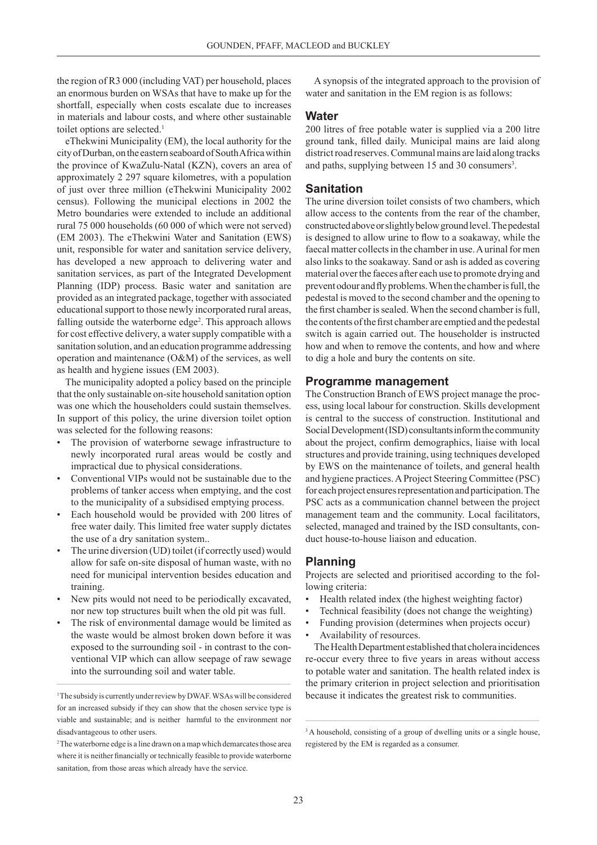the region of R3 000 (including VAT) per household, places an enormous burden on WSAs that have to make up for the shortfall, especially when costs escalate due to increases in materials and labour costs, and where other sustainable toilet options are selected.<sup>1</sup>

eThekwini Municipality (EM), the local authority for the city of Durban, on the eastern seaboard of South Africa within the province of KwaZulu-Natal (KZN), covers an area of approximately 2 297 square kilometres, with a population of just over three million (eThekwini Municipality 2002 census). Following the municipal elections in 2002 the Metro boundaries were extended to include an additional rural 75 000 households (60 000 of which were not served) (EM 2003). The eThekwini Water and Sanitation (EWS) unit, responsible for water and sanitation service delivery, has developed a new approach to delivering water and sanitation services, as part of the Integrated Development Planning (IDP) process. Basic water and sanitation are provided as an integrated package, together with associated educational support to those newly incorporated rural areas, falling outside the waterborne edge<sup>2</sup>. This approach allows for cost effective delivery, a water supply compatible with a sanitation solution, and an education programme addressing operation and maintenance (O&M) of the services, as well as health and hygiene issues (EM 2003).

The municipality adopted a policy based on the principle that the only sustainable on-site household sanitation option was one which the householders could sustain themselves. In support of this policy, the urine diversion toilet option was selected for the following reasons:

- The provision of waterborne sewage infrastructure to newly incorporated rural areas would be costly and impractical due to physical considerations.
- Conventional VIPs would not be sustainable due to the problems of tanker access when emptying, and the cost to the municipality of a subsidised emptying process.
- Each household would be provided with 200 litres of free water daily. This limited free water supply dictates the use of a dry sanitation system..
- The urine diversion (UD) toilet (if correctly used) would allow for safe on-site disposal of human waste, with no need for municipal intervention besides education and training.
- New pits would not need to be periodically excavated, nor new top structures built when the old pit was full.
- The risk of environmental damage would be limited as the waste would be almost broken down before it was exposed to the surrounding soil - in contrast to the conventional VIP which can allow seepage of raw sewage into the surrounding soil and water table.

A synopsis of the integrated approach to the provision of water and sanitation in the EM region is as follows:

# **Water**

200 litres of free potable water is supplied via a 200 litre ground tank, filled daily. Municipal mains are laid along district road reserves. Communal mains are laid along tracks and paths, supplying between 15 and 30 consumers<sup>3</sup>.

### **Sanitation**

The urine diversion toilet consists of two chambers, which allow access to the contents from the rear of the chamber, constructed above or slightly below ground level. The pedestal is designed to allow urine to flow to a soakaway, while the faecal matter collects in the chamber in use. A urinal for men also links to the soakaway. Sand or ash is added as covering material over the faeces after each use to promote drying and prevent odour and fly problems. When the chamber is full, the pedestal is moved to the second chamber and the opening to the first chamber is sealed. When the second chamber is full, the contents of the first chamber are emptied and the pedestal switch is again carried out. The householder is instructed how and when to remove the contents, and how and where to dig a hole and bury the contents on site.

#### **Programme management**

The Construction Branch of EWS project manage the process, using local labour for construction. Skills development is central to the success of construction. Institutional and Social Development (ISD) consultants inform the community about the project, confirm demographics, liaise with local structures and provide training, using techniques developed by EWS on the maintenance of toilets, and general health and hygiene practices. A Project Steering Committee (PSC) for each project ensures representation and participation. The PSC acts as a communication channel between the project management team and the community. Local facilitators, selected, managed and trained by the ISD consultants, conduct house-to-house liaison and education.

#### **Planning**

Projects are selected and prioritised according to the following criteria:

- Health related index (the highest weighting factor)
- Technical feasibility (does not change the weighting)
- Funding provision (determines when projects occur)
- Availability of resources.

The Health Department established that cholera incidences re-occur every three to five years in areas without access to potable water and sanitation. The health related index is the primary criterion in project selection and prioritisation because it indicates the greatest risk to communities.

<sup>&</sup>lt;sup>1</sup> The subsidy is currently under review by DWAF. WSAs will be considered for an increased subsidy if they can show that the chosen service type is viable and sustainable; and is neither harmful to the environment nor disadvantageous to other users.

<sup>&</sup>lt;sup>2</sup> The waterborne edge is a line drawn on a map which demarcates those area where it is neither financially or technically feasible to provide waterborne sanitation, from those areas which already have the service.

<sup>&</sup>lt;sup>3</sup> A household, consisting of a group of dwelling units or a single house, registered by the EM is regarded as a consumer.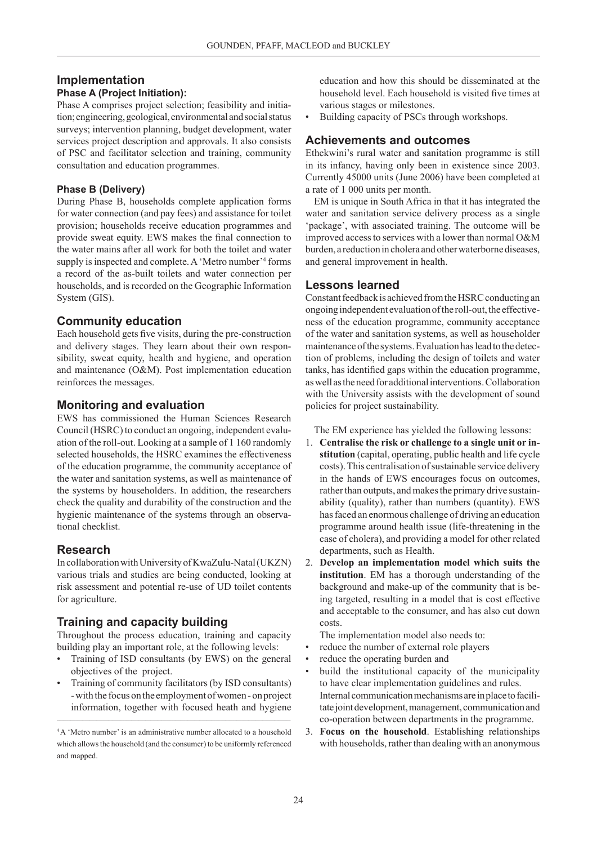# **Implementation**

# **Phase A (Project Initiation):**

Phase A comprises project selection; feasibility and initiation; engineering, geological, environmental and social status surveys; intervention planning, budget development, water services project description and approvals. It also consists of PSC and facilitator selection and training, community consultation and education programmes.

#### **Phase B (Delivery)**

During Phase B, households complete application forms for water connection (and pay fees) and assistance for toilet provision; households receive education programmes and provide sweat equity. EWS makes the final connection to the water mains after all work for both the toilet and water supply is inspected and complete. A 'Metro number'<sup>4</sup> forms a record of the as-built toilets and water connection per households, and is recorded on the Geographic Information System (GIS).

# **Community education**

Each household gets five visits, during the pre-construction and delivery stages. They learn about their own responsibility, sweat equity, health and hygiene, and operation and maintenance (O&M). Post implementation education reinforces the messages.

# **Monitoring and evaluation**

EWS has commissioned the Human Sciences Research Council (HSRC) to conduct an ongoing, independent evaluation of the roll-out. Looking at a sample of 1 160 randomly selected households, the HSRC examines the effectiveness of the education programme, the community acceptance of the water and sanitation systems, as well as maintenance of the systems by householders. In addition, the researchers check the quality and durability of the construction and the hygienic maintenance of the systems through an observational checklist.

# **Research**

In collaboration with University of KwaZulu-Natal (UKZN) various trials and studies are being conducted, looking at risk assessment and potential re-use of UD toilet contents for agriculture.

# **Training and capacity building**

Throughout the process education, training and capacity building play an important role, at the following levels:

- Training of ISD consultants (by EWS) on the general objectives of the project.
- Training of community facilitators (by ISD consultants) - with the focus on the employment of women - on project information, together with focused heath and hygiene

education and how this should be disseminated at the household level. Each household is visited five times at various stages or milestones.

• Building capacity of PSCs through workshops.

# **Achievements and outcomes**

Ethekwini's rural water and sanitation programme is still in its infancy, having only been in existence since 2003. Currently 45000 units (June 2006) have been completed at a rate of 1 000 units per month.

EM is unique in South Africa in that it has integrated the water and sanitation service delivery process as a single 'package', with associated training. The outcome will be improved access to services with a lower than normal O&M burden, a reduction in cholera and other waterborne diseases, and general improvement in health.

# **Lessons learned**

Constant feedback is achieved from the HSRC conducting an ongoing independent evaluation of the roll-out, the effectiveness of the education programme, community acceptance of the water and sanitation systems, as well as householder maintenance of the systems. Evaluation has lead to the detection of problems, including the design of toilets and water tanks, has identified gaps within the education programme, as well as the need for additional interventions. Collaboration with the University assists with the development of sound policies for project sustainability.

The EM experience has yielded the following lessons:

- 1. **Centralise the risk or challenge to a single unit or institution** (capital, operating, public health and life cycle costs). This centralisation of sustainable service delivery in the hands of EWS encourages focus on outcomes, rather than outputs, and makes the primary drive sustainability (quality), rather than numbers (quantity). EWS has faced an enormous challenge of driving an education programme around health issue (life-threatening in the case of cholera), and providing a model for other related departments, such as Health.
- 2. **Develop an implementation model which suits the institution**. EM has a thorough understanding of the background and make-up of the community that is being targeted, resulting in a model that is cost effective and acceptable to the consumer, and has also cut down costs.

The implementation model also needs to:

- reduce the number of external role players
- reduce the operating burden and
- build the institutional capacity of the municipality to have clear implementation guidelines and rules. Internal communication mechanisms are in place to facilitate joint development, management, communication and co-operation between departments in the programme.
- 3. **Focus on the household**. Establishing relationships with households, rather than dealing with an anonymous

<sup>&</sup>lt;sup>4</sup>A 'Metro number' is an administrative number allocated to a household which allows the household (and the consumer) to be uniformly referenced and mapped.